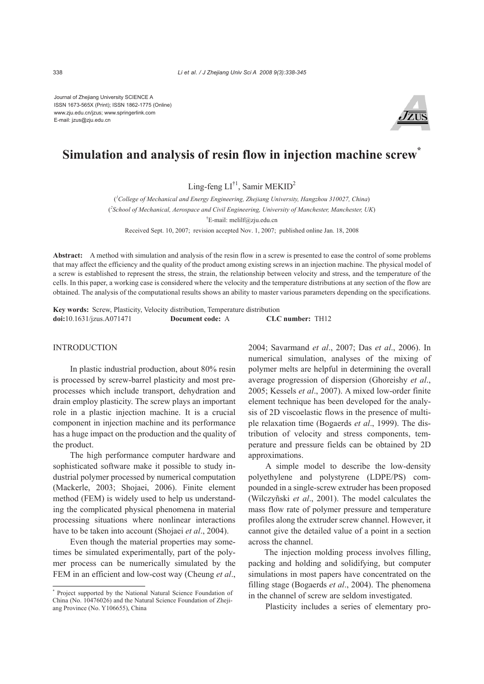Journal of Zhejiang University SCIENCE A ISSN 1673-565X (Print); ISSN 1862-1775 (Online) www.zju.edu.cn/jzus; www.springerlink.com E-mail: jzus@zju.edu.cn



# **Simulation and analysis of resin flow in injection machine screw\***

Ling-feng  $LI^{\dagger 1}$ , Samir MEKID<sup>2</sup>

( *1 College of Mechanical and Energy Engineering, Zhejiang University, Hangzhou 310027, China*) ( *2 School of Mechanical, Aerospace and Civil Engineering, University of Manchester, Manchester, UK*) † E-mail: melilf@zju.edu.cn

Received Sept. 10, 2007; revision accepted Nov. 1, 2007; published online Jan. 18, 2008

**Abstract:** A method with simulation and analysis of the resin flow in a screw is presented to ease the control of some problems that may affect the efficiency and the quality of the product among existing screws in an injection machine. The physical model of a screw is established to represent the stress, the strain, the relationship between velocity and stress, and the temperature of the cells. In this paper, a working case is considered where the velocity and the temperature distributions at any section of the flow are obtained. The analysis of the computational results shows an ability to master various parameters depending on the specifications.

**Key words:** Screw, Plasticity, Velocity distribution, Temperature distribution **doi:**10.1631/jzus.A071471 **Document code:** A **CLC number:** TH12

## INTRODUCTION

In plastic industrial production, about 80% resin is processed by screw-barrel plasticity and most preprocesses which include transport, dehydration and drain employ plasticity. The screw plays an important role in a plastic injection machine. It is a crucial component in injection machine and its performance has a huge impact on the production and the quality of the product.

The high performance computer hardware and sophisticated software make it possible to study industrial polymer processed by numerical computation (Mackerle, 2003; Shojaei, 2006). Finite element method (FEM) is widely used to help us understanding the complicated physical phenomena in material processing situations where nonlinear interactions have to be taken into account (Shojaei *et al*., 2004).

Even though the material properties may sometimes be simulated experimentally, part of the polymer process can be numerically simulated by the FEM in an efficient and low-cost way (Cheung *et al*.,

2004; Savarmand *et al*., 2007; Das *et al*., 2006). In numerical simulation, analyses of the mixing of polymer melts are helpful in determining the overall average progression of dispersion (Ghoreishy *et al*., 2005; Kessels *et al*., 2007). A mixed low-order finite element technique has been developed for the analysis of 2D viscoelastic flows in the presence of multiple relaxation time (Bogaerds *et al*., 1999). The distribution of velocity and stress components, temperature and pressure fields can be obtained by 2D approximations.

A simple model to describe the low-density polyethylene and polystyrene (LDPE/PS) compounded in a single-screw extruder has been proposed (Wilczyñski *et al*., 2001). The model calculates the mass flow rate of polymer pressure and temperature profiles along the extruder screw channel. However, it cannot give the detailed value of a point in a section across the channel.

The injection molding process involves filling, packing and holding and solidifying, but computer simulations in most papers have concentrated on the filling stage (Bogaerds *et al*., 2004). The phenomena in the channel of screw are seldom investigated.

Plasticity includes a series of elementary pro-

<sup>\*</sup> Project supported by the National Natural Science Foundation of China (No. 10476026) and the Natural Science Foundation of Zhejiang Province (No. Y106655), China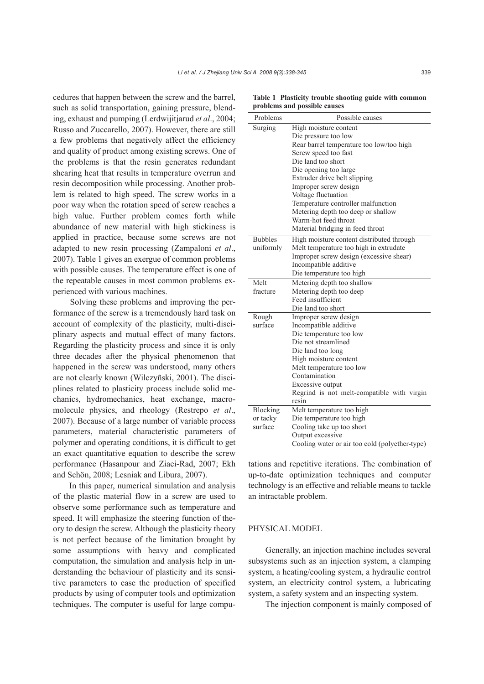cedures that happen between the screw and the barrel, such as solid transportation, gaining pressure, blending, exhaust and pumping (Lerdwijitjarud *et al*., 2004; Russo and Zuccarello, 2007). However, there are still a few problems that negatively affect the efficiency and quality of product among existing screws. One of the problems is that the resin generates redundant shearing heat that results in temperature overrun and resin decomposition while processing. Another problem is related to high speed. The screw works in a poor way when the rotation speed of screw reaches a high value. Further problem comes forth while abundance of new material with high stickiness is applied in practice, because some screws are not adapted to new resin processing (Zampaloni *et al*., 2007). Table 1 gives an exergue of common problems with possible causes. The temperature effect is one of the repeatable causes in most common problems experienced with various machines.

Solving these problems and improving the performance of the screw is a tremendously hard task on account of complexity of the plasticity, multi-disciplinary aspects and mutual effect of many factors. Regarding the plasticity process and since it is only three decades after the physical phenomenon that happened in the screw was understood, many others are not clearly known (Wilczyñski, 2001). The disciplines related to plasticity process include solid mechanics, hydromechanics, heat exchange, macromolecule physics, and rheology (Restrepo *et al*., 2007). Because of a large number of variable process parameters, material characteristic parameters of polymer and operating conditions, it is difficult to get an exact quantitative equation to describe the screw performance (Hasanpour and Ziaei-Rad, 2007; Ekh and Schön, 2008; Lesniak and Libura, 2007).

In this paper, numerical simulation and analysis of the plastic material flow in a screw are used to observe some performance such as temperature and speed. It will emphasize the steering function of theory to design the screw. Although the plasticity theory is not perfect because of the limitation brought by some assumptions with heavy and complicated computation, the simulation and analysis help in understanding the behaviour of plasticity and its sensitive parameters to ease the production of specified products by using of computer tools and optimization techniques. The computer is useful for large compu-

**Table 1 Plasticity trouble shooting guide with common problems and possible causes** 

| Surging<br>High moisture content<br>Die pressure too low<br>Rear barrel temperature too low/too high<br>Screw speed too fast<br>Die land too short<br>Die opening too large<br>Extruder drive belt slipping<br>Improper screw design<br>Voltage fluctuation<br>Temperature controller malfunction<br>Metering depth too deep or shallow<br>Warm-hot feed throat<br>Material bridging in feed throat | Problems | Possible causes |
|-----------------------------------------------------------------------------------------------------------------------------------------------------------------------------------------------------------------------------------------------------------------------------------------------------------------------------------------------------------------------------------------------------|----------|-----------------|
|                                                                                                                                                                                                                                                                                                                                                                                                     |          |                 |
|                                                                                                                                                                                                                                                                                                                                                                                                     |          |                 |
|                                                                                                                                                                                                                                                                                                                                                                                                     |          |                 |
|                                                                                                                                                                                                                                                                                                                                                                                                     |          |                 |
|                                                                                                                                                                                                                                                                                                                                                                                                     |          |                 |
|                                                                                                                                                                                                                                                                                                                                                                                                     |          |                 |
|                                                                                                                                                                                                                                                                                                                                                                                                     |          |                 |
|                                                                                                                                                                                                                                                                                                                                                                                                     |          |                 |
|                                                                                                                                                                                                                                                                                                                                                                                                     |          |                 |
|                                                                                                                                                                                                                                                                                                                                                                                                     |          |                 |
|                                                                                                                                                                                                                                                                                                                                                                                                     |          |                 |
|                                                                                                                                                                                                                                                                                                                                                                                                     |          |                 |
|                                                                                                                                                                                                                                                                                                                                                                                                     |          |                 |
| <b>Bubbles</b><br>High moisture content distributed through                                                                                                                                                                                                                                                                                                                                         |          |                 |
| Melt temperature too high in extrudate<br>uniformly                                                                                                                                                                                                                                                                                                                                                 |          |                 |
| Improper screw design (excessive shear)                                                                                                                                                                                                                                                                                                                                                             |          |                 |
| Incompatible additive                                                                                                                                                                                                                                                                                                                                                                               |          |                 |
| Die temperature too high                                                                                                                                                                                                                                                                                                                                                                            |          |                 |
| Melt<br>Metering depth too shallow                                                                                                                                                                                                                                                                                                                                                                  |          |                 |
| Metering depth too deep<br>fracture                                                                                                                                                                                                                                                                                                                                                                 |          |                 |
| Feed insufficient                                                                                                                                                                                                                                                                                                                                                                                   |          |                 |
| Die land too short                                                                                                                                                                                                                                                                                                                                                                                  |          |                 |
| Rough<br>Improper screw design                                                                                                                                                                                                                                                                                                                                                                      |          |                 |
| surface<br>Incompatible additive                                                                                                                                                                                                                                                                                                                                                                    |          |                 |
| Die temperature too low                                                                                                                                                                                                                                                                                                                                                                             |          |                 |
| Die not streamlined                                                                                                                                                                                                                                                                                                                                                                                 |          |                 |
| Die land too long                                                                                                                                                                                                                                                                                                                                                                                   |          |                 |
| High moisture content                                                                                                                                                                                                                                                                                                                                                                               |          |                 |
| Melt temperature too low                                                                                                                                                                                                                                                                                                                                                                            |          |                 |
| Contamination                                                                                                                                                                                                                                                                                                                                                                                       |          |                 |
| Excessive output                                                                                                                                                                                                                                                                                                                                                                                    |          |                 |
| Regrind is not melt-compatible with virgin<br>resin                                                                                                                                                                                                                                                                                                                                                 |          |                 |
|                                                                                                                                                                                                                                                                                                                                                                                                     |          |                 |
| Blocking<br>Melt temperature too high<br>or tacky                                                                                                                                                                                                                                                                                                                                                   |          |                 |
| Die temperature too high<br>surface<br>Cooling take up too short                                                                                                                                                                                                                                                                                                                                    |          |                 |
| Output excessive                                                                                                                                                                                                                                                                                                                                                                                    |          |                 |
| Cooling water or air too cold (polyether-type)                                                                                                                                                                                                                                                                                                                                                      |          |                 |

tations and repetitive iterations. The combination of up-to-date optimization techniques and computer technology is an effective and reliable means to tackle an intractable problem.

## PHYSICAL MODEL

Generally, an injection machine includes several subsystems such as an injection system, a clamping system, a heating/cooling system, a hydraulic control system, an electricity control system, a lubricating system, a safety system and an inspecting system.

The injection component is mainly composed of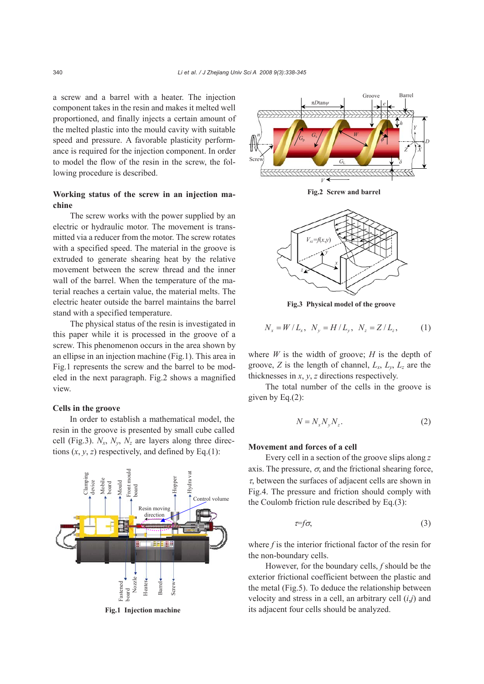a screw and a barrel with a heater. The injection component takes in the resin and makes it melted well proportioned, and finally injects a certain amount of the melted plastic into the mould cavity with suitable speed and pressure. A favorable plasticity performance is required for the injection component. In order to model the flow of the resin in the screw, the following procedure is described.

# **Working status of the screw in an injection machine**

The screw works with the power supplied by an electric or hydraulic motor. The movement is transmitted via a reducer from the motor. The screw rotates with a specified speed. The material in the groove is extruded to generate shearing heat by the relative movement between the screw thread and the inner wall of the barrel. When the temperature of the material reaches a certain value, the material melts. The electric heater outside the barrel maintains the barrel stand with a specified temperature.

The physical status of the resin is investigated in this paper while it is processed in the groove of a screw. This phenomenon occurs in the area shown by an ellipse in an injection machine (Fig.1). This area in Fig.1 represents the screw and the barrel to be modeled in the next paragraph. Fig.2 shows a magnified view.

# **Cells in the groove**

In order to establish a mathematical model, the resin in the groove is presented by small cube called cell (Fig.3).  $N_x$ ,  $N_y$ ,  $N_z$  are layers along three directions  $(x, y, z)$  respectively, and defined by Eq.(1):



**Fig.1 Injection machine** 



**Fig.2 Screw and barrel** 



**Fig.3 Physical model of the groove**

$$
N_x = W/L_x, \ N_y = H/L_y, \ N_z = Z/L_z, \ (1)
$$

where  $W$  is the width of groove;  $H$  is the depth of groove, *Z* is the length of channel,  $L_x$ ,  $L_y$ ,  $L_z$  are the thicknesses in *x*, *y*, *z* directions respectively.

The total number of the cells in the groove is given by Eq.(2):

$$
N = N_x N_y N_z. \tag{2}
$$

## **Movement and forces of a cell**

Every cell in a section of the groove slips along *z* axis. The pressure,  $\sigma$ , and the frictional shearing force,  $\tau$ , between the surfaces of adjacent cells are shown in Fig.4. The pressure and friction should comply with the Coulomb friction rule described by Eq.(3):

$$
\tau = f\sigma,\tag{3}
$$

where *f* is the interior frictional factor of the resin for the non-boundary cells.

However, for the boundary cells, *f* should be the exterior frictional coefficient between the plastic and the metal (Fig.5). To deduce the relationship between velocity and stress in a cell, an arbitrary cell (*i*,*j*) and its adjacent four cells should be analyzed.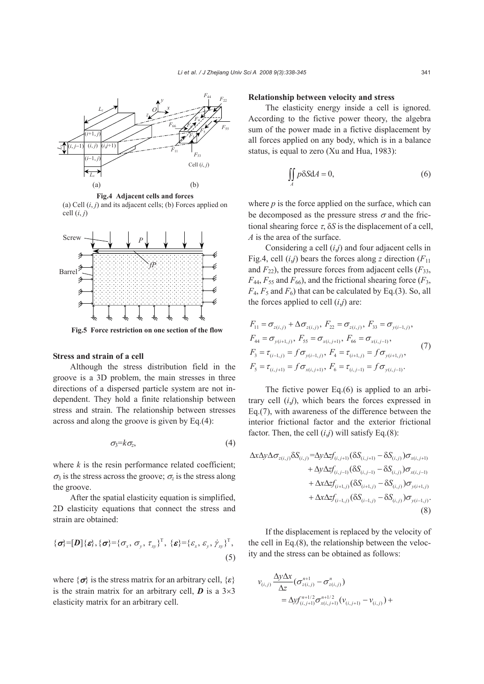

**Fig.4 Adjacent cells and forces** (a) Cell  $(i, j)$  and its adjacent cells; (b) Forces applied on cell  $(i, j)$ 



**Fig.5 Force restriction on one section of the flow** 

## **Stress and strain of a cell**

Although the stress distribution field in the groove is a 3D problem, the main stresses in three directions of a dispersed particle system are not independent. They hold a finite relationship between stress and strain. The relationship between stresses across and along the groove is given by Eq.(4):

$$
\sigma_3 = k \sigma_z, \tag{4}
$$

where  $k$  is the resin performance related coefficient;  $\sigma_3$  is the stress across the groove;  $\sigma_7$  is the stress along the groove.

After the spatial elasticity equation is simplified, 2D elasticity equations that connect the stress and strain are obtained:

$$
\{\boldsymbol{\sigma}\} = [\boldsymbol{D}]\{\boldsymbol{\varepsilon}\}, \{\boldsymbol{\sigma}\} = \{\sigma_x, \sigma_y, \tau_{xy}\}^{\mathrm{T}}, \{\boldsymbol{\varepsilon}\} = \{\varepsilon_x, \varepsilon_y, \dot{\gamma}_{xy}\}^{\mathrm{T}},
$$
\n(5)

where  $\{\sigma\}$  is the stress matrix for an arbitrary cell,  $\{\varepsilon\}$ is the strain matrix for an arbitrary cell,  $\boldsymbol{D}$  is a  $3\times3$ elasticity matrix for an arbitrary cell.

#### **Relationship between velocity and stress**

The elasticity energy inside a cell is ignored. According to the fictive power theory, the algebra sum of the power made in a fictive displacement by all forces applied on any body, which is in a balance status, is equal to zero (Xu and Hua, 1983):

$$
\iint_{A} p \delta S dA = 0, \tag{6}
$$

where  $p$  is the force applied on the surface, which can be decomposed as the pressure stress  $\sigma$  and the frictional shearing force  $\tau$ ,  $\delta S$  is the displacement of a cell, *A* is the area of the surface.

Considering a cell (*i*,*j*) and four adjacent cells in Fig.4, cell  $(i,j)$  bears the forces along *z* direction  $(F_{11})$ and  $F_{22}$ ), the pressure forces from adjacent cells  $(F_{33},$  $F_{44}$ ,  $F_{55}$  and  $F_{66}$ ), and the frictional shearing force ( $F_3$ ,  $F_4$ ,  $F_5$  and  $F_6$ ) that can be calculated by Eq.(3). So, all the forces applied to cell  $(i,j)$  are:

$$
F_{11} = \sigma_{z(i,j)} + \Delta \sigma_{z(i,j)}, F_{22} = \sigma_{z(i,j)}, F_{33} = \sigma_{y(i-1,j)},
$$
  
\n
$$
F_{44} = \sigma_{y(i+1,j)}, F_{55} = \sigma_{x(i,j+1)}, F_{66} = \sigma_{x(i,j-1)},
$$
  
\n
$$
F_{3} = \tau_{(i-1,j)} = f \sigma_{y(i-1,j)}, F_{4} = \tau_{(i+1,j)} = f \sigma_{y(i+1,j)},
$$
  
\n
$$
F_{5} = \tau_{(i,j+1)} = f \sigma_{x(i,j+1)}, F_{6} = \tau_{(i,j-1)} = f \sigma_{y(i,j-1)}.
$$
\n(7)

The fictive power Eq.(6) is applied to an arbitrary cell (*i*,*j*), which bears the forces expressed in Eq.(7), with awareness of the difference between the interior frictional factor and the exterior frictional factor. Then, the cell  $(i,j)$  will satisfy Eq.(8):

$$
\Delta x \Delta y \Delta \sigma_{z(i,j)} \delta S_{(i,j)} = \Delta y \Delta z f_{(i,j+1)} (\delta S_{(i,j+1)} - \delta S_{(i,j)}) \sigma_{x(i,j+1)} + \Delta y \Delta z f_{(i,j-1)} (\delta S_{(i,j-1)} - \delta S_{(i,j)}) \sigma_{x(i,j-1)} + \Delta x \Delta z f_{(i+1,j)} (\delta S_{(i+1,j)} - \delta S_{(i,j)}) \sigma_{y(i+1,j)} + \Delta x \Delta z f_{(i-1,j)} (\delta S_{(i-1,j)} - \delta S_{(i,j)}) \sigma_{y(i-1,j)}.
$$
\n(8)

If the displacement is replaced by the velocity of the cell in Eq.(8), the relationship between the velocity and the stress can be obtained as follows:

$$
\nu_{(i,j)} \frac{\Delta y \Delta x}{\Delta z} \left( \sigma_{z(i,j)}^{n+1} - \sigma_{z(i,j)}^n \right) \n= \Delta y f_{(i,j+1)}^{n+1/2} \sigma_{x(i,j+1)}^{n+1/2} \left( v_{(i,j+1)} - v_{(i,j)} \right) +
$$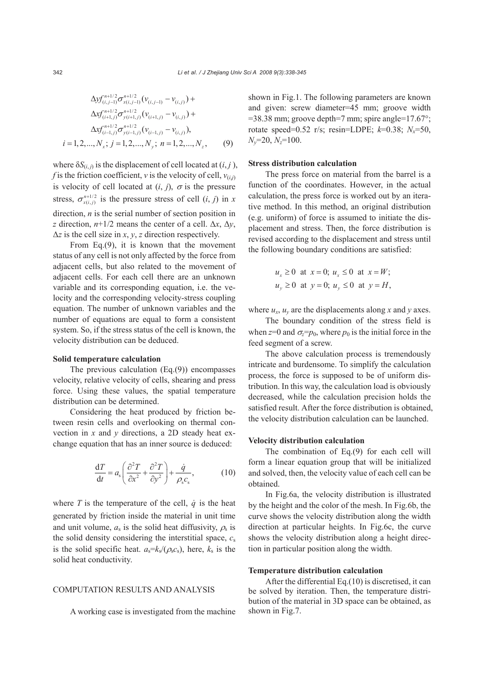$$
\Delta y f_{(i,j-1)}^{n+1/2} \sigma_{x(i,j-1)}^{n+1/2} (v_{(i,j-1)} - v_{(i,j)}) +
$$
  
\n
$$
\Delta x f_{(i+1,j)}^{n+1/2} \sigma_{y(i+1,j)}^{n+1/2} (v_{(i+1,j)} - v_{(i,j)}) +
$$
  
\n
$$
\Delta x f_{(i-1,j)}^{n+1/2} \sigma_{y(i-1,j)}^{n+1/2} (v_{(i-1,j)} - v_{(i,j)}),
$$
  
\n $i = 1, 2, ..., N_x; j = 1, 2, ..., N_y; n = 1, 2, ..., N_z,$  (9)

where  $\delta S_{(i,j)}$  is the displacement of cell located at  $(i, j)$ , *f* is the friction coefficient, *v* is the velocity of cell,  $v_{(i,i)}$ is velocity of cell located at  $(i, j)$ ,  $\sigma$  is the pressure stress,  $\sigma_{x(i,j)}^{n+1/2}$  is the pressure stress of cell  $(i, j)$  in *x* direction, *n* is the serial number of section position in *z* direction,  $n+1/2$  means the center of a cell.  $\Delta x$ ,  $\Delta y$ ,  $\Delta z$  is the cell size in *x*, *y*, *z* direction respectively.

From Eq.(9), it is known that the movement status of any cell is not only affected by the force from adjacent cells, but also related to the movement of adjacent cells. For each cell there are an unknown variable and its corresponding equation, i.e. the velocity and the corresponding velocity-stress coupling equation. The number of unknown variables and the number of equations are equal to form a consistent system. So, if the stress status of the cell is known, the velocity distribution can be deduced.

#### **Solid temperature calculation**

The previous calculation (Eq.(9)) encompasses velocity, relative velocity of cells, shearing and press force. Using these values, the spatial temperature distribution can be determined.

Considering the heat produced by friction between resin cells and overlooking on thermal convection in *x* and *y* directions, a 2D steady heat exchange equation that has an inner source is deduced:

$$
\frac{dT}{dt} = a_s \left( \frac{\partial^2 T}{\partial x^2} + \frac{\partial^2 T}{\partial y^2} \right) + \frac{\dot{q}}{\rho_s c_s},
$$
(10)

where  $T$  is the temperature of the cell,  $\dot{q}$  is the heat generated by friction inside the material in unit time and unit volume,  $a_s$  is the solid heat diffusivity,  $\rho_s$  is the solid density considering the interstitial space, *c*<sup>s</sup> is the solid specific heat.  $a_s = k_s/(\rho_s c_s)$ , here,  $k_s$  is the solid heat conductivity.

## COMPUTATION RESULTS AND ANALYSIS

A working case is investigated from the machine

shown in Fig.1. The following parameters are known and given: screw diameter=45 mm; groove width =38.38 mm; groove depth=7 mm; spire angle=17.67°; rotate speed=0.52 r/s; resin=LDPE; *k*=0.38; *Nx*=50, *Ny*=20, *Nz*=100.

## **Stress distribution calculation**

The press force on material from the barrel is a function of the coordinates. However, in the actual calculation, the press force is worked out by an iterative method. In this method, an original distribution (e.g. uniform) of force is assumed to initiate the displacement and stress. Then, the force distribution is revised according to the displacement and stress until the following boundary conditions are satisfied:

$$
u_x \ge 0 \text{ at } x = 0; u_x \le 0 \text{ at } x = W;
$$
  

$$
u_y \ge 0 \text{ at } y = 0; u_y \le 0 \text{ at } y = H,
$$

where  $u_x$ ,  $u_y$  are the displacements along *x* and *y* axes.

The boundary condition of the stress field is when  $z=0$  and  $\sigma_z=p_0$ , where  $p_0$  is the initial force in the feed segment of a screw.

The above calculation process is tremendously intricate and burdensome. To simplify the calculation process, the force is supposed to be of uniform distribution. In this way, the calculation load is obviously decreased, while the calculation precision holds the satisfied result. After the force distribution is obtained, the velocity distribution calculation can be launched.

# **Velocity distribution calculation**

The combination of Eq.(9) for each cell will form a linear equation group that will be initialized and solved, then, the velocity value of each cell can be obtained.

In Fig.6a, the velocity distribution is illustrated by the height and the color of the mesh. In Fig.6b, the curve shows the velocity distribution along the width direction at particular heights. In Fig.6c, the curve shows the velocity distribution along a height direction in particular position along the width.

#### **Temperature distribution calculation**

After the differential Eq.(10) is discretised, it can be solved by iteration. Then, the temperature distribution of the material in 3D space can be obtained, as shown in Fig.7.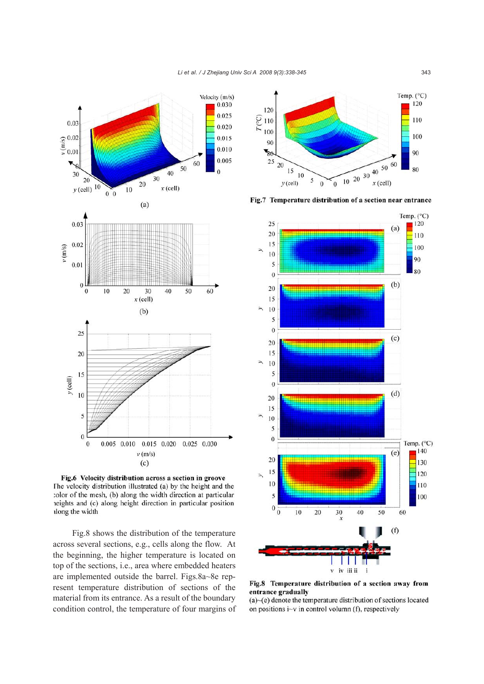

Fig.6 Velocity distribution across a section in groove The velocity distribution illustrated (a) by the height and the color of the mesh, (b) along the width direction at particular reights and (c) along height direction in particular position along the width

 Fig.8 shows the distribution of the temperature across several sections, e.g., cells along the flow. At the beginning, the higher temperature is located on top of the sections, i.e., area where embedded heaters are implemented outside the barrel. Figs.8a~8e represent temperature distribution of sections of the material from its entrance. As a result of the boundary condition control, the temperature of four margins of



Fig.7 Temperature distribution of a section near entrance



Fig.8 Temperature distribution of a section away from entrance gradually

 $(a)$   $\neg$ (e) denote the temperature distribution of sections located on positions  $i$ -v in control volumn (f), respectively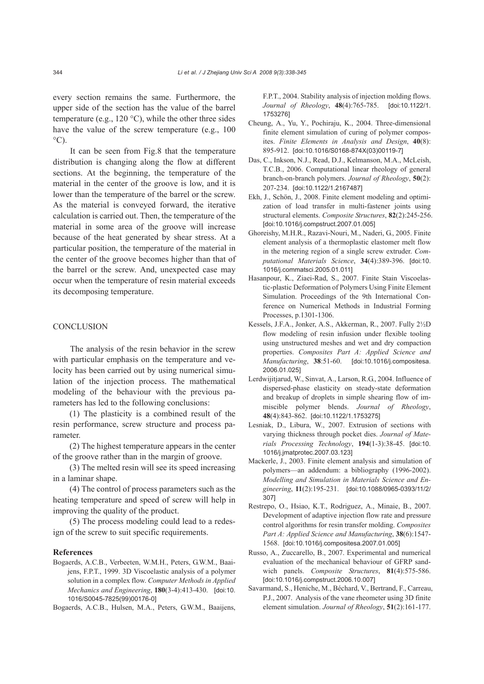every section remains the same. Furthermore, the upper side of the section has the value of the barrel temperature (e.g., 120 $\degree$ C), while the other three sides have the value of the screw temperature (e.g., 100)  $^{\circ}$ C).

It can be seen from Fig.8 that the temperature distribution is changing along the flow at different sections. At the beginning, the temperature of the material in the center of the groove is low, and it is lower than the temperature of the barrel or the screw. As the material is conveyed forward, the iterative calculation is carried out. Then, the temperature of the material in some area of the groove will increase because of the heat generated by shear stress. At a particular position, the temperature of the material in the center of the groove becomes higher than that of the barrel or the screw. And, unexpected case may occur when the temperature of resin material exceeds its decomposing temperature.

# **CONCLUSION**

The analysis of the resin behavior in the screw with particular emphasis on the temperature and velocity has been carried out by using numerical simulation of the injection process. The mathematical modeling of the behaviour with the previous parameters has led to the following conclusions:

(1) The plasticity is a combined result of the resin performance, screw structure and process parameter.

(2) The highest temperature appears in the center of the groove rather than in the margin of groove.

(3) The melted resin will see its speed increasing in a laminar shape.

(4) The control of process parameters such as the heating temperature and speed of screw will help in improving the quality of the product.

(5) The process modeling could lead to a redesign of the screw to suit specific requirements.

### **References**

Bogaerds, A.C.B., Verbeeten, W.M.H., Peters, G.W.M., Baaijens, F.P.T., 1999. 3D Viscoelastic analysis of a polymer solution in a complex flow. *Computer Methods in Applied Mechanics and Engineering*, **180**(3-4):413-430. [doi:10. 1016/S0045-7825(99)00176-0]

Bogaerds, A.C.B., Hulsen, M.A., Peters, G.W.M., Baaijens,

F.P.T., 2004. Stability analysis of injection molding flows. *Journal of Rheology*, **48**(4):765-785. [doi:10.1122/1. 1753276]

- Cheung, A., Yu, Y., Pochiraju, K., 2004. Three-dimensional finite element simulation of curing of polymer composites. *Finite Elements in Analysis and Design*, **40**(8): 895-912. [doi:10.1016/S0168-874X(03)00119-7]
- Das, C., Inkson, N.J., Read, D.J., Kelmanson, M.A., McLeish, T.C.B., 2006. Computational linear rheology of general branch-on-branch polymers. *Journal of Rheology*, **50**(2): 207-234. [doi:10.1122/1.2167487]
- Ekh, J., Schön, J., 2008. Finite element modeling and optimization of load transfer in multi-fastener joints using structural elements. *Composite Structures*, **82**(2):245-256. [doi:10.1016/j.compstruct.2007.01.005]
- Ghoreishy, M.H.R., Razavi-Nouri, M., Naderi, G., 2005. Finite element analysis of a thermoplastic elastomer melt flow in the metering region of a single screw extruder. *Computational Materials Science*, **34**(4):389-396. [doi:10. 1016/j.commatsci.2005.01.011]
- Hasanpour, K., Ziaei-Rad, S., 2007. Finite Stain Viscoelastic-plastic Deformation of Polymers Using Finite Element Simulation. Proceedings of the 9th International Conference on Numerical Methods in Industrial Forming Processes, p.1301-1306.
- Kessels, J.F.A., Jonker, A.S., Akkerman, R., 2007. Fully 2½D flow modeling of resin infusion under flexible tooling using unstructured meshes and wet and dry compaction properties. *Composites Part A: Applied Science and Manufacturing*, **38**:51-60. [doi:10.1016/j.compositesa. 2006.01.025]
- Lerdwijitjarud, W., Sinvat, A., Larson, R.G., 2004. Influence of dispersed-phase elasticity on steady-state deformation and breakup of droplets in simple shearing flow of immiscible polymer blends. *Journal of Rheology*, **48**(4):843-862. [doi:10.1122/1.1753275]
- Lesniak, D., Libura, W., 2007. Extrusion of sections with varying thickness through pocket dies. *Journal of Materials Processing Technology*, **194**(1-3):38-45. [doi:10. 1016/j.jmatprotec.2007.03.123]
- Mackerle, J., 2003. Finite element analysis and simulation of polymers—an addendum: a bibliography (1996-2002). *Modelling and Simulation in Materials Science and Engineering*, **11**(2):195-231. [doi:10.1088/0965-0393/11/2/ 307]
- Restrepo, O., Hsiao, K.T., Rodriguez, A., Minaie, B., 2007. Development of adaptive injection flow rate and pressure control algorithms for resin transfer molding. *Composites Part A: Applied Science and Manufacturing*, **38**(6):1547- 1568. [doi:10.1016/j.compositesa.2007.01.005]
- Russo, A., Zuccarello, B., 2007. Experimental and numerical evaluation of the mechanical behaviour of GFRP sandwich panels. *Composite Structures*, **81**(4):575-586. [doi:10.1016/j.compstruct.2006.10.007]
- Savarmand, S., Heniche, M., Béchard, V., Bertrand, F., Carreau, P.J., 2007. Analysis of the vane rheometer using 3D finite element simulation. *Journal of Rheology*, **51**(2):161-177.